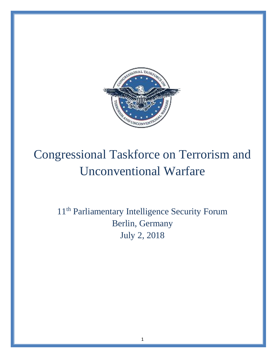

# Congressional Taskforce on Terrorism and Unconventional Warfare

11<sup>th</sup> Parliamentary Intelligence Security Forum Berlin, Germany July 2, 2018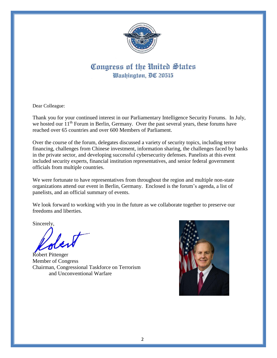

# Congress of the United States Washington, DC 20515

Dear Colleague:

Thank you for your continued interest in our Parliamentary Intelligence Security Forums. In July, we hosted our 11<sup>th</sup> Forum in Berlin, Germany. Over the past several years, these forums have reached over 65 countries and over 600 Members of Parliament.

Over the course of the forum, delegates discussed a variety of security topics, including terror financing, challenges from Chinese investment, information sharing, the challenges faced by banks in the private sector, and developing successful cybersecurity defenses. Panelists at this event included security experts, financial institution representatives, and senior federal government officials from multiple countries.

We were fortunate to have representatives from throughout the region and multiple non-state organizations attend our event in Berlin, Germany. Enclosed is the forum's agenda, a list of panelists, and an official summary of events.

We look forward to working with you in the future as we collaborate together to preserve our freedoms and liberties.

Sincerely,

لكمدهم

Robert Pittenger Member of Congress Chairman, Congressional Taskforce on Terrorism and Unconventional Warfare

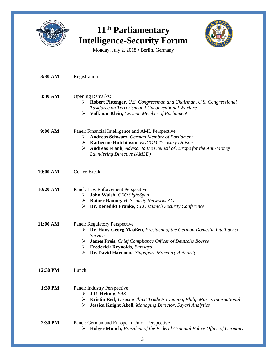

# **11th Parliamentary Intelligence-Security Forum**



Monday, July 2, 2018 • Berlin, Germany

| 8:30 AM  | Registration                                                                                                                                                                                                                                                                                                 |
|----------|--------------------------------------------------------------------------------------------------------------------------------------------------------------------------------------------------------------------------------------------------------------------------------------------------------------|
| 8:30 AM  | <b>Opening Remarks:</b><br>> Robert Pittenger, U.S. Congressman and Chairman, U.S. Congressional<br>Taskforce on Terrorism and Unconventional Warfare<br>$\triangleright$ Volkmar Klein, German Member of Parliament                                                                                         |
| 9:00 AM  | Panel: Financial Intelligence and AML Perspective<br><b>Andreas Schwarz, German Member of Parliament</b><br>➤<br>> Katherine Hutchinson, EUCOM Treasury Liaison<br>$\triangleright$ <b>Andreas Frank,</b> Advisor to the Council of Europe for the Anti-Money<br>Laundering Directive (AMLD)                 |
| 10:00 AM | <b>Coffee Break</b>                                                                                                                                                                                                                                                                                          |
| 10:20 AM | Panel: Law Enforcement Perspective<br>$\triangleright$ John Walsh, CEO SightSpan<br>$\triangleright$ Rainer Baumgart, Security Networks AG<br>$\triangleright$ Dr. Benedikt Franke, CEO Munich Security Conference                                                                                           |
| 11:00 AM | Panel: Regulatory Perspective<br>> Dr. Hans-Georg Maaßen, President of the German Domestic Intelligence<br>Service<br>> James Freis, Chief Compliance Officer of Deutsche Boerse<br>$\triangleright$ Frederick Reynolds, <i>Barclays</i><br>$\triangleright$ Dr. David Hardoon, Singapore Monetary Authority |
| 12:30 PM | Lunch                                                                                                                                                                                                                                                                                                        |
| 1:30 PM  | Panel: Industry Perspective<br><b>J.R. Helmig, SAS</b><br>➤<br>Kristin Reif, Director Illicit Trade Prevention, Philip Morris International<br>➤<br>Jessica Knight Abell, Managing Director, Sayari Analytics<br>➤                                                                                           |
| 2:30 PM  | Panel: German and European Union Perspective<br>> Holger Münch, President of the Federal Criminal Police Office of Germany                                                                                                                                                                                   |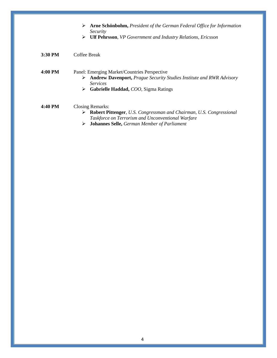|         | <b>Arne Schönbohm, President of the German Federal Office for Information</b><br>➤<br>Security                                                                                                                      |
|---------|---------------------------------------------------------------------------------------------------------------------------------------------------------------------------------------------------------------------|
|         | <b>Ulf Pehrsson</b> , VP Government and Industry Relations, Ericsson<br>➤                                                                                                                                           |
| 3:30 PM | Coffee Break                                                                                                                                                                                                        |
| 4:00 PM | Panel: Emerging Market/Countries Perspective<br><b>Andrew Davenport, Prague Security Studies Institute and RWR Advisory</b><br>➤<br><i>Services</i><br><b>Gabrielle Haddad, COO, Sigma Ratings</b><br>➤             |
| 4:40 PM | <b>Closing Remarks:</b><br>Robert Pittenger, U.S. Congressman and Chairman, U.S. Congressional<br>➤<br>Taskforce on Terrorism and Unconventional Warfare<br><b>Johannes Selle, German Member of Parliament</b><br>➤ |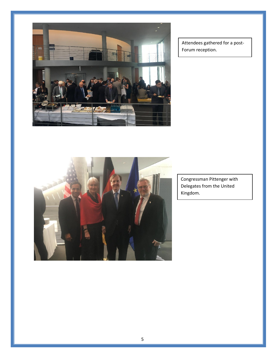

Attendees gathered for a post-Forum reception.



Congressman Pittenger with Delegates from the United Kingdom.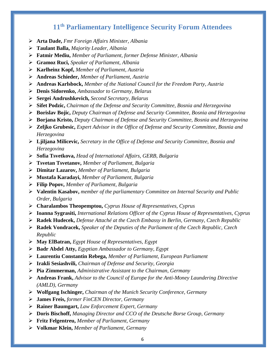# **11th Parliamentary Intelligence Security Forum Attendees**

- ➢ **Arta Dade,** *Fmr Foreign Affairs Minister, Albania*
- ➢ **Taulant Balla,** *Majority Leader, Albania*
- ➢ **Fatmir Mediu,** *Member of Parliament, former Defense Minister, Albania*
- ➢ **Gramoz Ruci,** *Speaker of Parliament, Albania*
- ➢ **Karlheinz Kopf,** *Member of Parliament, Austria*
- ➢ **Andreas Schieder,** *Member of Parliament, Austria*
- ➢ **Andreas Karlsbock,** *Member of the National Council for the Freedom Party, Austria*
- ➢ **Denis Sidorenko,** *Ambassador to Germany, Belarus*
- ➢ **Sergei Andrushkevich,** *Second Secretary, Belarus*
- ➢ **Sifet Podzic,** *Chairman of the Defense and Security Committee, Bosnia and Herzegovina*
- ➢ **Borislav Bojic,** *Deputy Chairman of Defense and Security Committee, Bosnia and Herzegovina*
- ➢ **Borjana Kristo,** *Deputy Chairman of Defense and Security Committee, Bosnia and Herzegovina*
- ➢ **Zeljko Grubesic,** *Expert Advisor in the Office of Defense and Security Committee, Bosnia and Herzegovina*
- ➢ **Ljiljana Milicevic,** *Secretary in the Office of Defense and Security Committee, Bosnia and Herzegovina*
- ➢ **Sofia Tsvetkova,** *Head of International Affairs, GERB, Bulgaria*
- ➢ **Tsvetan Tsvetanov,** *Member of Parliament, Bulgaria*
- ➢ **Dimitar Lazarov,** *Member of Parliament, Bulgaria*
- ➢ **Mustafa Karadayi,** *Member of Parliament, Bulgaria*
- ➢ **Filip Popov,** *Member of Parliament, Bulgaria*
- ➢ **Valentin Kasabov,** *member of the parliamentary Committee on Internal Security and Public Order, Bulgaria*
- ➢ **Charalambos Theopemptou,** *Cyprus House of Representatives, Cyprus*
- ➢ **Ioanna Sygrasiti,** *International Relations Officer of the Cyprus House of Representatives, Cyprus*
- ➢ **Radek Hudecek,** *Defense Attaché at the Czech Embassy in Berlin, Germany, Czech Republic*
- ➢ **Radek Vondracek,** *Speaker of the Deputies of the Parliament of the Czech Republic, Czech Republic*
- ➢ **May ElBatran,** *Egypt House of Representatives, Egypt*
- ➢ **Badr Abdel Atty,** *Egyptian Ambassador to Germany, Egypt*
- ➢ **Laurentiu Constantin Rebega,** *Member of Parliament, European Parliament*
- ➢ **Irakli Sesiashvili,** *Chairman of Defense and Security, Georgia*
- ➢ **Pia Zimmerman,** *Administrative Assistant to the Chairman, Germany*
- ➢ **Andreas Frank,** *Advisor to the Council of Europe for the Anti-Money Laundering Directive (AMLD), Germany*
- ➢ **Wolfgang Ischinger,** *Chairman of the Munich Security Conference, Germany*
- ➢ **James Freis,** *former FinCEN Director, Germany*
- ➢ **Rainer Baumgart,** *Law Enforcement Expert, Germany*
- ➢ **Doris Bischoff,** *Managing Director and CCO of the Deutsche Borse Group, Germany*
- ➢ **Fritz Felgentreu,** *Member of Parliament, Germany*
- ➢ **Volkmar Klein,** *Member of Parliament, Germany*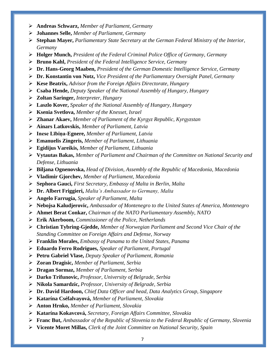- ➢ **Andreas Schwarz,** *Member of Parliament, Germany*
- ➢ **Johannes Selle,** *Member of Parliament, Germany*
- ➢ **Stephan Mayer,** *Parliamentary State Secretary at the German Federal Ministry of the Interior, Germany*
- ➢ **Holger Munch,** *President of the Federal Criminal Police Office of Germany, Germany*
- ➢ **Bruno Kahl,** *President of the Federal Intelligence Service, Germany*
- ➢ **Dr. Hans-Georg Maaben,** *President of the German Domestic Intelligence Service, Germany*
- ➢ **Dr. Konstantin von Notz,** *Vice President of the Parliamentary Oversight Panel, Germany*
- ➢ **Kese Beatrix,** *Advisor from the Foreign Affairs Directorate, Hungary*
- ➢ **Csaba Hende,** *Deputy Speaker of the National Assembly of Hungary, Hungary*
- ➢ **Zoltan Saringer,** *Interpreter, Hungary*
- ➢ **Laszlo Kover,** *Speaker of the National Assembly of Hungary, Hungary*
- ➢ **Ksenia Svetlova,** *Member of the Knesset, Israel*
- ➢ **Zhanar Akaev,** *Member of Parliament of the Kyrgyz Republic, Kyrgyzstan*
- ➢ **Ainars Latkovskis,** *Member of Parliament, Latvia*
- ➢ **Inese Lībiņa-Egnere,** *Member of Parliament, Latvia*
- ➢ **Emanuelis Zingeris,** *Member of Parliament, Lithuania*
- ➢ **Egidijus Vareikis,** *Member of Parliament, Lithuania*
- ➢ **Vytautas Bakas,** *Member of Parliament and Chairman of the Committee on National Security and Defense, Lithuania*
- ➢ **Biljana Ognenovska,** *Head of Division, Assembly of the Republic of Macedonia, Macedonia*
- ➢ **Vladimir Gjorchev,** *Member of Parliament, Macedonia*
- ➢ **Sephora Gauci,** *First Secretary, Embassy of Malta in Berlin, Malta*
- ➢ **Dr. Albert Friggieri,** *Malta's Ambassador to Germany, Malta*
- ➢ **Angelo Farrugia,** *Speaker of Parliament, Malta*
- ➢ **Nebojsa Kaludjerovic,** *Ambassador of Montenegro to the United States of America, Montenegro*
- ➢ **Ahmet Berat Conkar,** *Chairman of the NATO Parliamentary Assembly, NATO*
- ➢ **Erik Akerboom,** *Commissioner of the Police, Netherlands*
- ➢ **Christian Tybring-Gjedde,** *Member of Norwegian Parliament and Second Vice Chair of the Standing Committee on Foreign Affairs and Defense, Norway*
- ➢ **Franklin Morales,** *Embassy of Panama to the United States, Panama*
- ➢ **Eduardo Ferro Rodrigues,** *Speaker of Parliament, Portugal*
- ➢ **Petru Gabriel Vlase,** *Deputy Speaker of Parliament, Romania*
- ➢ **Zoran Dragisic,** *Member of Parliament, Serbia*
- ➢ **Dragan Sormaz,** *Member of Parliament, Serbia*
- ➢ **Darko Trifunovic,** *Professor, University of Belgrade, Serbia*
- ➢ **Nikola Samardzic,** *Professor, University of Belgrade, Serbia*
- ➢ **Dr. David Hardoon,** *Chief Data Officer and head, Data Analytics Group, Singapore*
- ➢ **Katarína Cséfalvayová,** *Member of Parliament, Slovakia*
- ➢ **Anton Hrnko,** *Member of Parliament, Slovakia*
- ➢ **Katarína Kokavcová,** *Secretary, Foreign Affairs Committee, Slovakia*
- ➢ **Franc But,** *Ambassador of the Republic of Slovenia to the Federal Republic of Germany, Slovenia*
- ➢ **Vicente Moret Millas,** *Clerk of the Joint Committee on National Security, Spain*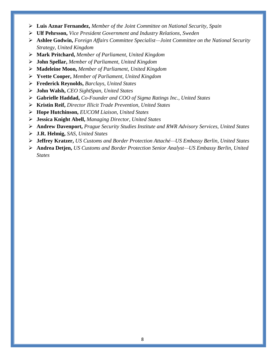- ➢ **Luis Aznar Fernandez,** *Member of the Joint Committee on National Security, Spain*
- ➢ **Ulf Pehrsson,** *Vice President Government and Industry Relations, Sweden*
- ➢ **Ashlee Godwin,** *Foreign Affairs Committee Specialist—Joint Committee on the National Security Strategy, United Kingdom*
- ➢ **Mark Pritchard,** *Member of Parliament, United Kingdom*
- ➢ **John Spellar,** *Member of Parliament, United Kingdom*
- ➢ **Madeleine Moon,** *Member of Parliament, United Kingdom*
- ➢ **Yvette Cooper,** *Member of Parliament, United Kingdom*
- ➢ **Frederick Reynolds,** *Barclays, United States*
- ➢ **John Walsh,** *CEO SightSpan, United States*
- ➢ **Gabrielle Haddad,** *Co-Founder and COO of Sigma Ratings Inc., United States*
- ➢ **Kristin Reif,** *Director Illicit Trade Prevention, United States*
- ➢ **Hope Hutchinson,** *EUCOM Liaison, United States*
- ➢ **Jessica Knight Abell,** *Managing Director, United States*
- ➢ **Andrew Davenport,** *Prague Security Studies Institute and RWR Advisory Services, United States*
- ➢ **J.R. Helmig,** *SAS, United States*
- ➢ **Jeffrey Kratzer,** *US Customs and Border Protection Attaché—US Embassy Berlin, United States*
- ➢ **Andrea Detjen,** *US Customs and Border Protection Senior Analyst—US Embassy Berlin, United States*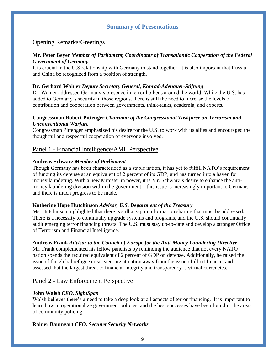### **Summary of Presentations**

#### Opening Remarks/Greetings

#### **Mr. Peter Beyer** *Member of Parliament, Coordinator of Transatlantic Cooperation of the Federal Government of Germany*

It is crucial in the U.S relationship with Germany to stand together. It is also important that Russia and China be recognized from a position of strength.

#### **Dr. Gerhard Wahler** *Deputy Secretary General, Konrad-Adenauer-Stiftung*

Dr. Wahler addressed Germany's presence in terror hotbeds around the world. While the U.S. has added to Germany's security in those regions, there is still the need to increase the levels of contribution and cooperation between governments, think-tanks, academia, and experts.

#### **Congressman Robert Pittenger** *Chairman of the Congressional Taskforce on Terrorism and Unconventional Warfare*

Congressman Pittenger emphasized his desire for the U.S. to work with its allies and encouraged the thoughtful and respectful cooperation of everyone involved.

#### Panel 1 - Financial Intelligence/AML Perspective

#### **Andreas Schwarz** *Member of Parliament*

Though Germany has been characterized as a stable nation, it has yet to fulfill NATO's requirement of funding its defense at an equivalent of 2 percent of its GDP, and has turned into a haven for money laundering. With a new Minister in power, it is Mr. Schwarz's desire to enhance the antimoney laundering division within the government – this issue is increasingly important to Germans and there is much progress to be made.

#### **Katherine Hope Hutchinson** *Advisor, U.S. Department of the Treasury*

Ms. Hutchinson highlighted that there is still a gap in information sharing that must be addressed. There is a necessity to continually upgrade systems and programs, and the U.S. should continually audit emerging terror financing threats. The U.S. must stay up-to-date and develop a stronger Office of Terrorism and Financial Intelligence.

#### **Andreas Frank** *Advisor to the Council of Europe for the Anti-Money Laundering Directive*

Mr. Frank complemented his fellow panelists by reminding the audience that not every NATO nation spends the required equivalent of 2 percent of GDP on defense. Additionally, he raised the issue of the global refugee crisis steering attention away from the issue of illicit finance, and assessed that the largest threat to financial integrity and transparency is virtual currencies.

#### Panel 2 - Law Enforcement Perspective

#### **John Walsh** *CEO, SightSpan*

Walsh believes there's a need to take a deep look at all aspects of terror financing. It is important to learn how to operationalize government policies, and the best successes have been found in the areas of community policing.

#### **Rainer Baumgart** *CEO, Secunet Security Networks*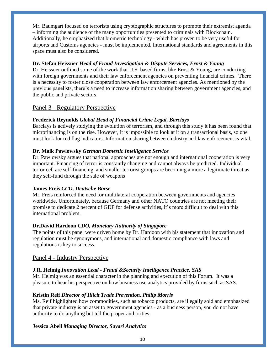Mr. Baumgart focused on terrorists using cryptographic structures to promote their extremist agenda – informing the audience of the many opportunities presented to criminals with Blockchain. Additionally, he emphasized that biometric technology - which has proven to be very useful for airports and Customs agencies - must be implemented. International standards and agreements in this space must also be considered.

#### **Dr. Stefan Heissner** *Head of Fraud Investigation & Dispute Services, Ernst & Young*

Dr. Heissner outlined some of the work that U.S. based firms, like Ernst & Young, are conducting with foreign governments and their law enforcement agencies on preventing financial crimes. There is a necessity to foster close cooperation between law enforcement agencies. As mentioned by the previous panelists, there's a need to increase information sharing between government agencies, and the public and private sectors.

#### Panel 3 - Regulatory Perspective

#### **Frederick Reynolds** *Global Head of Financial Crime Legal, Barclays*

Barclays is actively studying the evolution of terrorism, and through this study it has been found that microfinancing is on the rise. However, it is impossible to look at it on a transactional basis, so one must look for red flag indicators. Information sharing between industry and law enforcement is vital.

#### **Dr. Maik Pawlowsky** *German Domestic Intelligence Service*

Dr. Pawlowsky argues that national approaches are not enough and international cooperation is very important. Financing of terror is constantly changing and cannot always be predicted. Individual terror cell are self-financing, and smaller terrorist groups are becoming a more a legitimate threat as they self-fund through the sale of weapons

#### **James Freis** *CCO, Deutsche Borse*

Mr. Freis reinforced the need for multilateral cooperation between governments and agencies worldwide. Unfortunately, because Germany and other NATO countries are not meeting their promise to dedicate 2 percent of GDP for defense activities, it's more difficult to deal with this international problem.

#### **Dr.David Hardoon** *CDO, Monetary Authority of Singapore*

The points of this panel were driven home by Dr. Hardoon with his statement that innovation and regulation must be synonymous, and international and domestic compliance with laws and regulations is key to success.

#### Panel 4 - Industry Perspective

#### **J.R. Helmig** *Innovation Lead - Fraud &Security Intelligence Practice, SAS*

Mr. Helmig was an essential character in the planning and execution of this Forum. It was a pleasure to hear his perspective on how business use analytics provided by firms such as SAS.

#### **Kristin Reif** *Director of Illicit Trade Prevention, Philip Morris*

Ms. Reif highlighted how commodities, such as tobacco products, are illegally sold and emphasized that private industry is an asset to government agencies - as a business person, you do not have authority to do anything but tell the proper authorities.

#### **Jessica Abell** *Managing Director, Sayari Analytics*